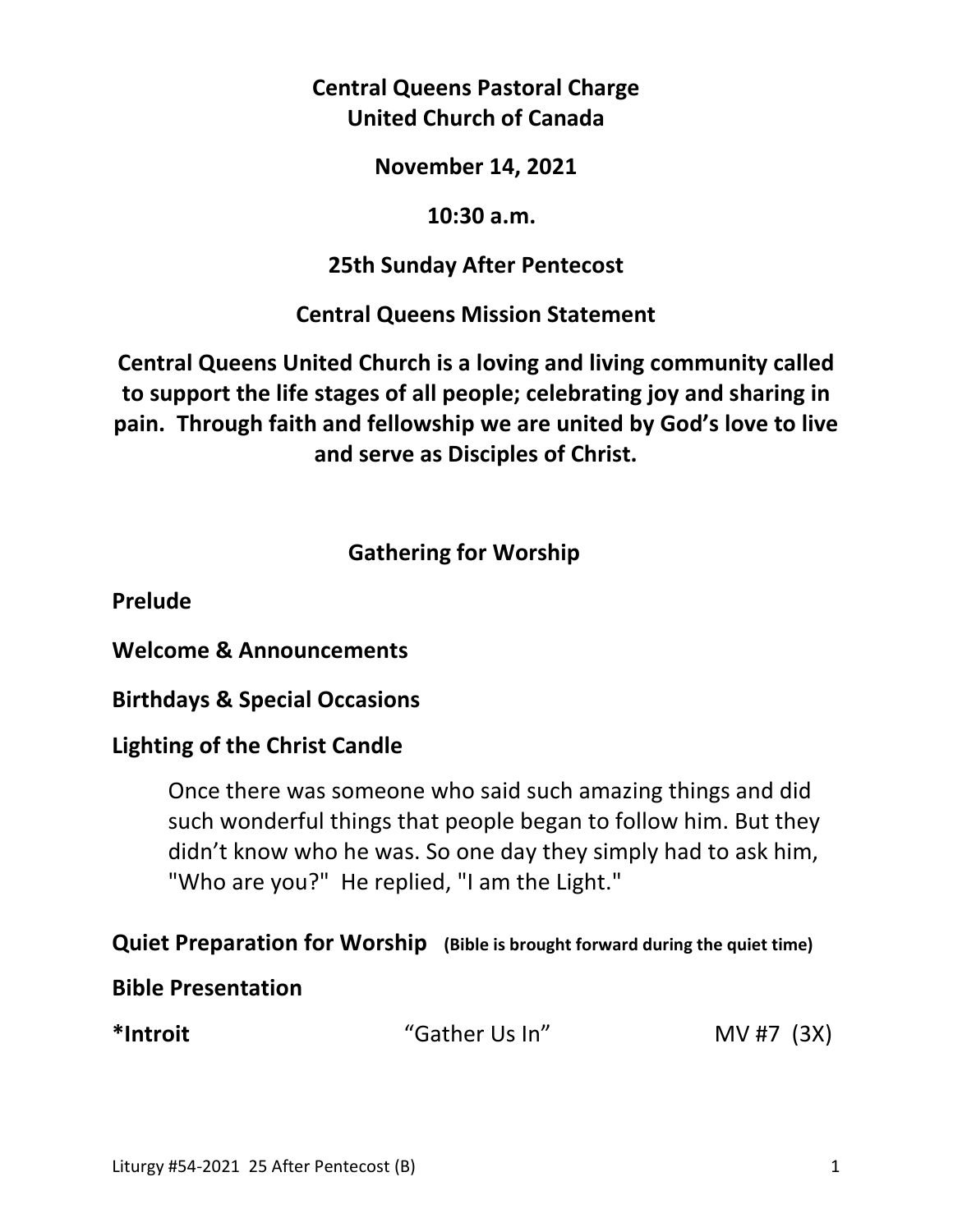# **Central Queens Pastoral Charge United Church of Canada**

## **November 14, 2021**

#### **10:30 a.m.**

## **25th Sunday After Pentecost**

## **Central Queens Mission Statement**

# **Central Queens United Church is a loving and living community called to support the life stages of all people; celebrating joy and sharing in pain. Through faith and fellowship we are united by God's love to live and serve as Disciples of Christ.**

# **Gathering for Worship**

## **Prelude**

## **Welcome & Announcements**

## **Birthdays & Special Occasions**

## **Lighting of the Christ Candle**

 Once there was someone who said such amazing things and did such wonderful things that people began to follow him. But they didn't know who he was. So one day they simply had to ask him, "Who are you?" He replied, "I am the Light."

# **Quiet Preparation for Worship (Bible is brought forward during the quiet time)**

## **Bible Presentation**

# **\*Introit** "Gather Us In" MV #7 (3X)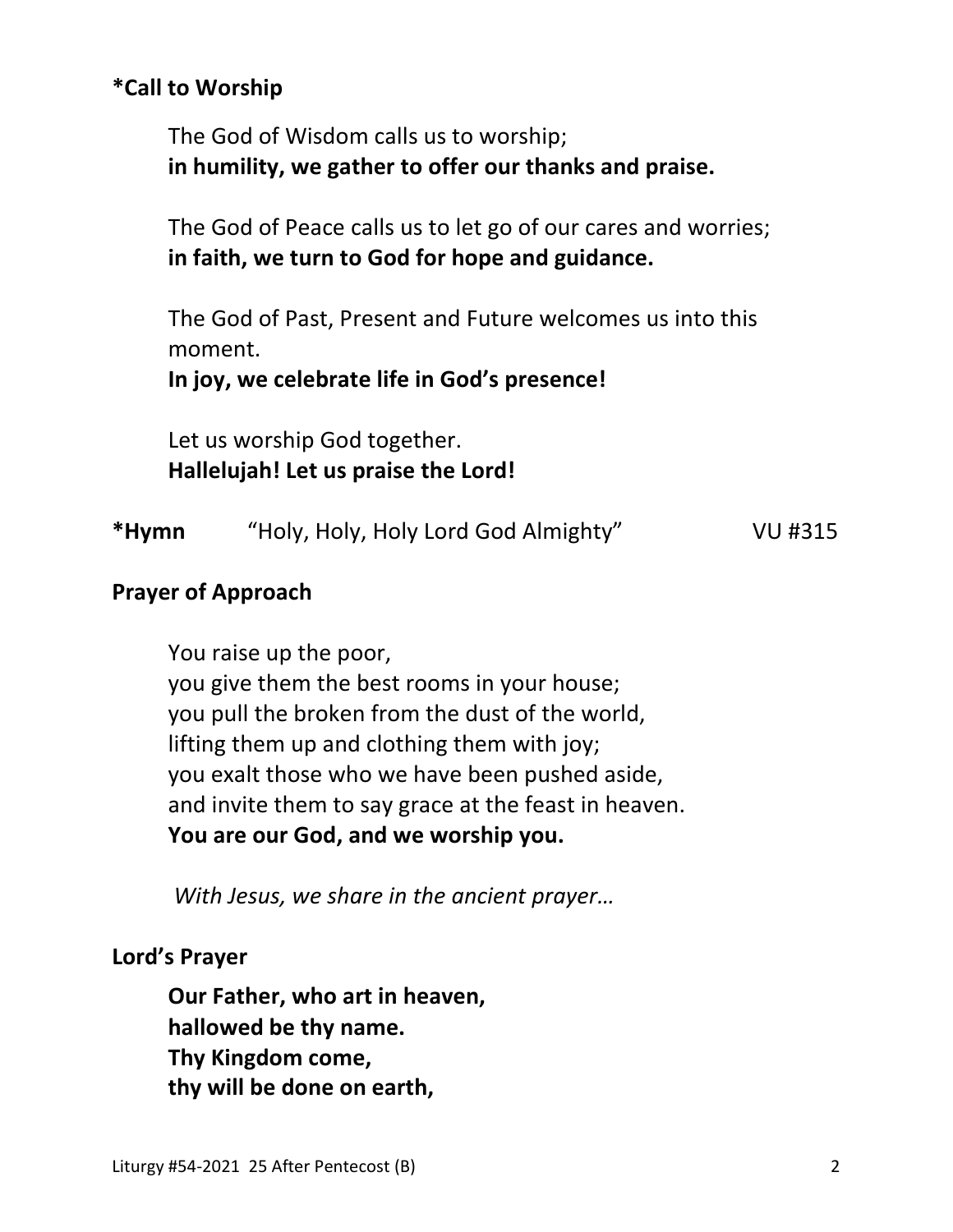# **\*Call to Worship**

 The God of Wisdom calls us to worship;  **in humility, we gather to offer our thanks and praise.** 

 The God of Peace calls us to let go of our cares and worries;  **in faith, we turn to God for hope and guidance.** 

 The God of Past, Present and Future welcomes us into this moment.

#### **In joy, we celebrate life in God's presence!**

 Let us worship God together.  **Hallelujah! Let us praise the Lord!** 

**\*Hymn** "Holy, Holy, Holy Lord God Almighty" VU #315

#### **Prayer of Approach**

You raise up the poor,

 you give them the best rooms in your house; you pull the broken from the dust of the world, lifting them up and clothing them with joy; you exalt those who we have been pushed aside, and invite them to say grace at the feast in heaven.  **You are our God, and we worship you.** 

*With Jesus, we share in the ancient prayer…* 

#### **Lord's Prayer**

**Our Father, who art in heaven, hallowed be thy name. Thy Kingdom come, thy will be done on earth,**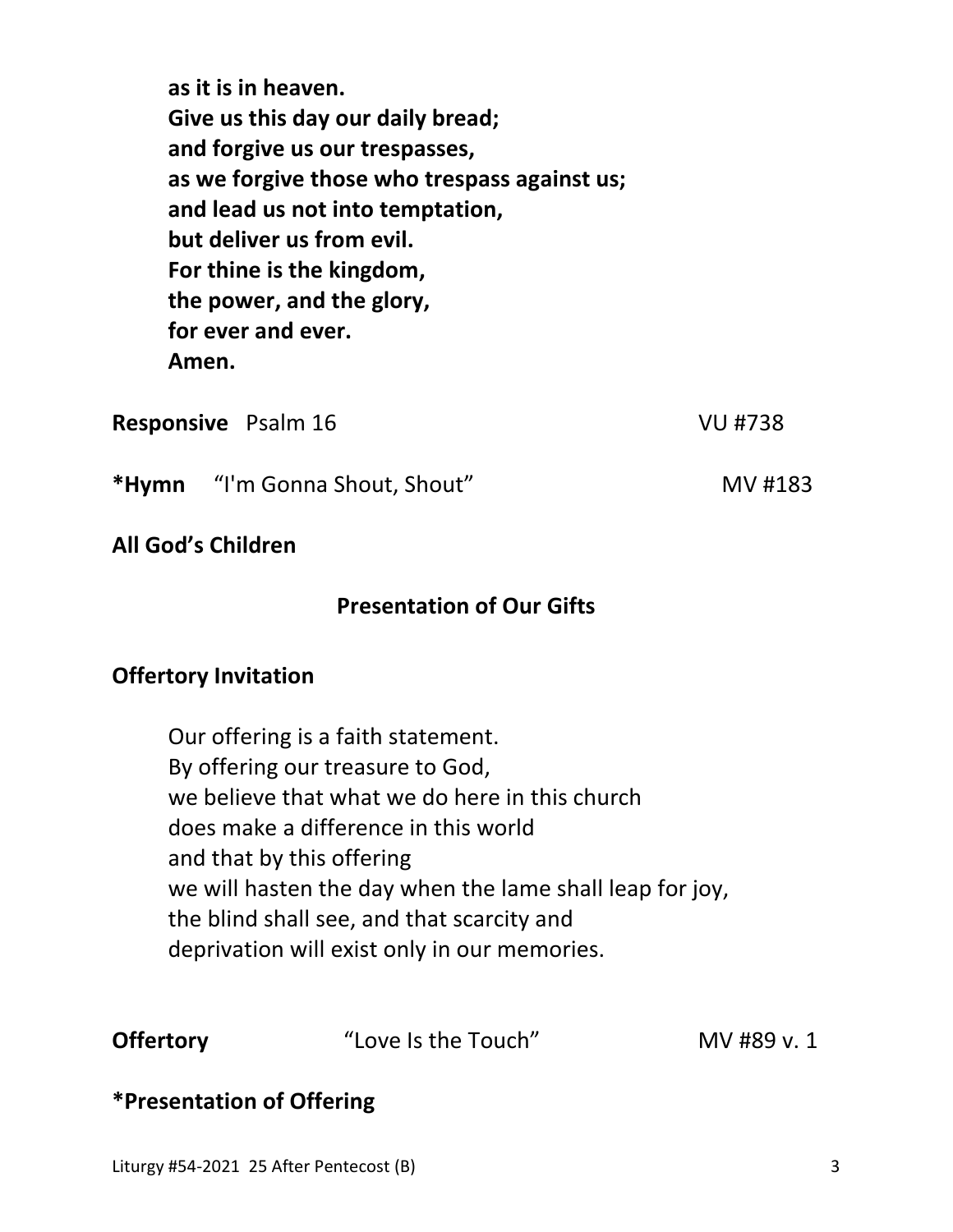**as it is in heaven. Give us this day our daily bread; and forgive us our trespasses, as we forgive those who trespass against us; and lead us not into temptation, but deliver us from evil. For thine is the kingdom, the power, and the glory, for ever and ever. Amen.** 

| <b>Responsive</b> Psalm 16 |                                       | VU #738 |
|----------------------------|---------------------------------------|---------|
|                            | <b>*Hymn</b> "I'm Gonna Shout, Shout" | MV #183 |

**All God's Children** 

## **Presentation of Our Gifts**

## **Offertory Invitation**

Our offering is a faith statement. By offering our treasure to God, we believe that what we do here in this church does make a difference in this world and that by this offering we will hasten the day when the lame shall leap for joy, the blind shall see, and that scarcity and deprivation will exist only in our memories.

**Offertory** "Love Is the Touch" MV #89 v. 1

# **\*Presentation of Offering**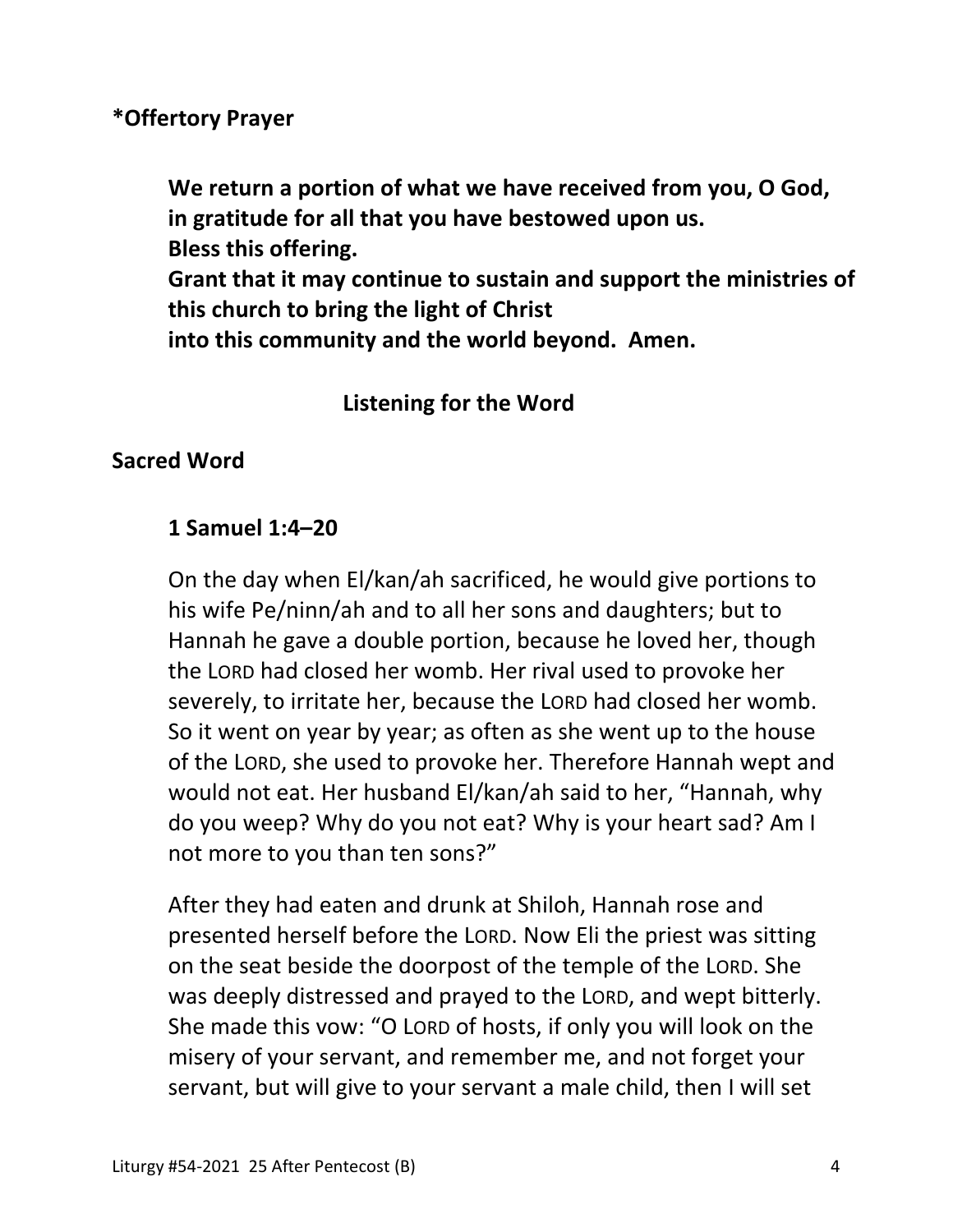## **\*Offertory Prayer**

**We return a portion of what we have received from you, O God, in gratitude for all that you have bestowed upon us. Bless this offering. Grant that it may continue to sustain and support the ministries of this church to bring the light of Christ into this community and the world beyond. Amen.** 

## **Listening for the Word**

#### **Sacred Word**

#### **1 Samuel 1:4–20**

On the day when El/kan/ah sacrificed, he would give portions to his wife Pe/ninn/ah and to all her sons and daughters; but to Hannah he gave a double portion, because he loved her, though the LORD had closed her womb. Her rival used to provoke her severely, to irritate her, because the LORD had closed her womb. So it went on year by year; as often as she went up to the house of the LORD, she used to provoke her. Therefore Hannah wept and would not eat. Her husband El/kan/ah said to her, "Hannah, why do you weep? Why do you not eat? Why is your heart sad? Am I not more to you than ten sons?"

After they had eaten and drunk at Shiloh, Hannah rose and presented herself before the LORD. Now Eli the priest was sitting on the seat beside the doorpost of the temple of the LORD. She was deeply distressed and prayed to the LORD, and wept bitterly. She made this vow: "O LORD of hosts, if only you will look on the misery of your servant, and remember me, and not forget your servant, but will give to your servant a male child, then I will set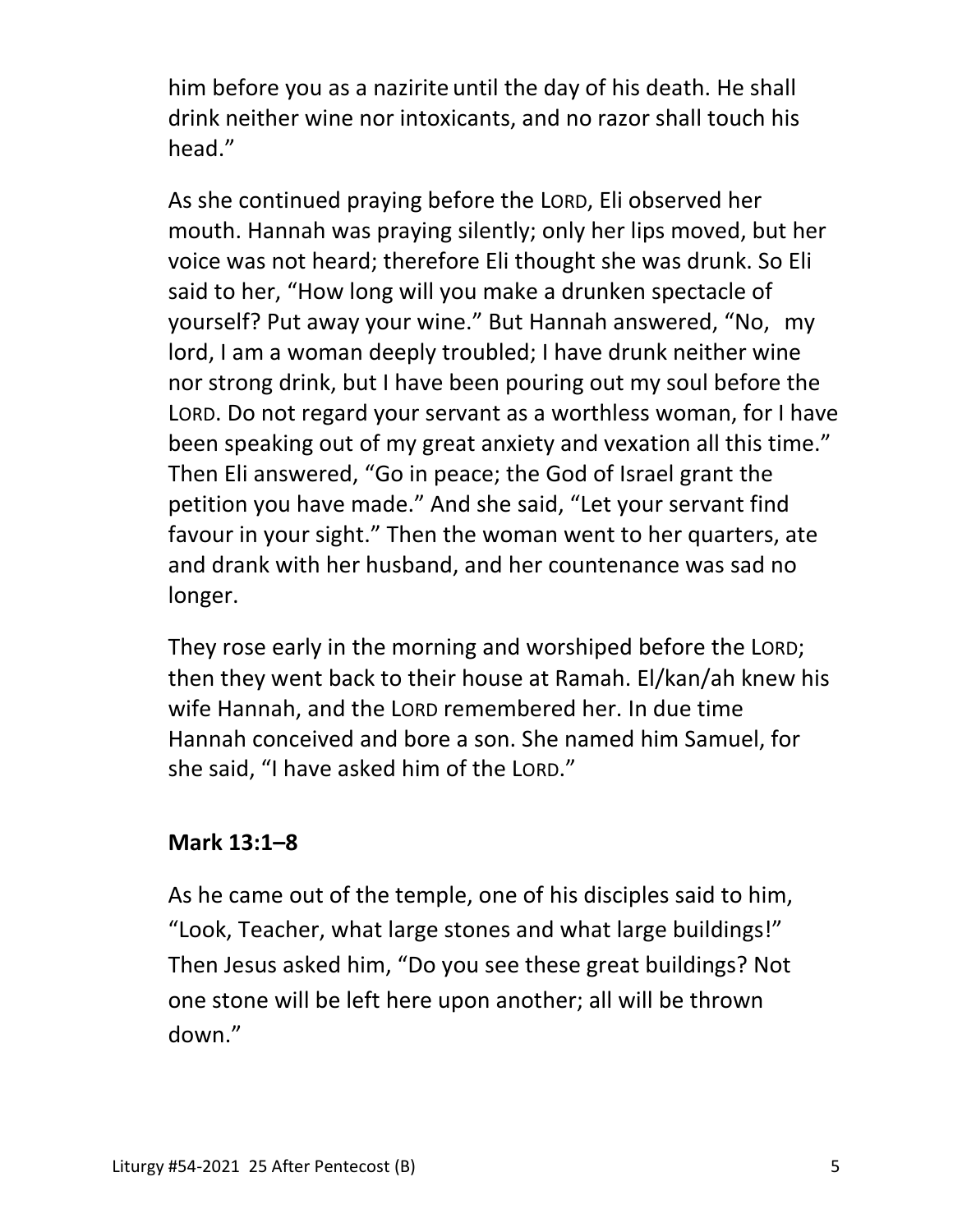him before you as a nazirite until the day of his death. He shall drink neither wine nor intoxicants, and no razor shall touch his head."

As she continued praying before the LORD, Eli observed her mouth. Hannah was praying silently; only her lips moved, but her voice was not heard; therefore Eli thought she was drunk. So Eli said to her, "How long will you make a drunken spectacle of yourself? Put away your wine." But Hannah answered, "No, my lord, I am a woman deeply troubled; I have drunk neither wine nor strong drink, but I have been pouring out my soul before the LORD. Do not regard your servant as a worthless woman, for I have been speaking out of my great anxiety and vexation all this time." Then Eli answered, "Go in peace; the God of Israel grant the petition you have made." And she said, "Let your servant find favour in your sight." Then the woman went to her quarters, ate and drank with her husband, and her countenance was sad no longer.

They rose early in the morning and worshiped before the LORD; then they went back to their house at Ramah. El/kan/ah knew his wife Hannah, and the LORD remembered her. In due time Hannah conceived and bore a son. She named him Samuel, for she said, "I have asked him of the LORD."

## **Mark 13:1–8**

 As he came out of the temple, one of his disciples said to him, "Look, Teacher, what large stones and what large buildings!" Then Jesus asked him, "Do you see these great buildings? Not one stone will be left here upon another; all will be thrown down."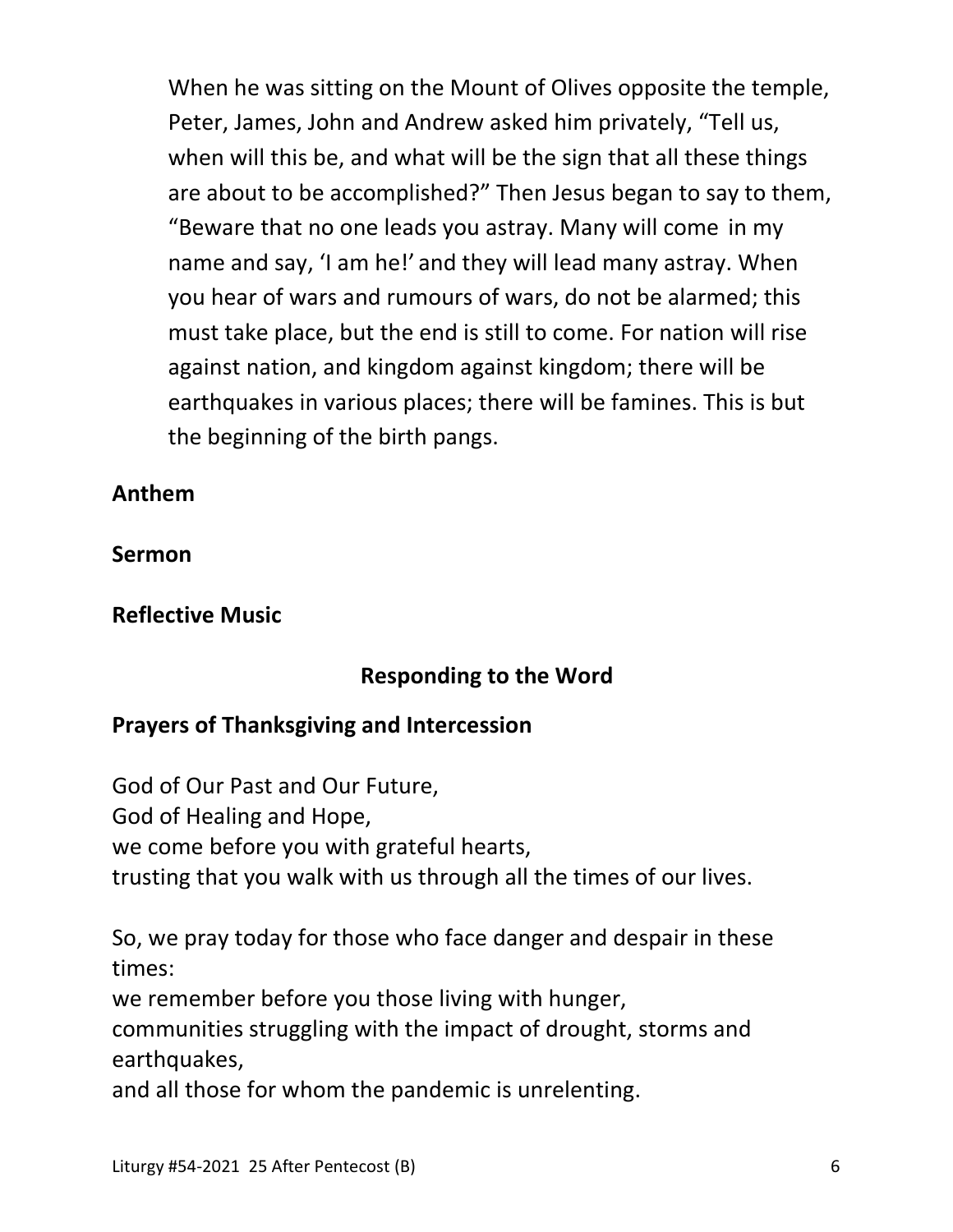When he was sitting on the Mount of Olives opposite the temple, Peter, James, John and Andrew asked him privately, "Tell us, when will this be, and what will be the sign that all these things are about to be accomplished?" Then Jesus began to say to them, "Beware that no one leads you astray. Many will come in my name and say, 'I am he!' and they will lead many astray. When you hear of wars and rumours of wars, do not be alarmed; this must take place, but the end is still to come. For nation will rise against nation, and kingdom against kingdom; there will be earthquakes in various places; there will be famines. This is but the beginning of the birth pangs.

## **Anthem**

## **Sermon**

## **Reflective Music**

# **Responding to the Word**

## **Prayers of Thanksgiving and Intercession**

God of Our Past and Our Future, God of Healing and Hope, we come before you with grateful hearts, trusting that you walk with us through all the times of our lives.

So, we pray today for those who face danger and despair in these times:

we remember before you those living with hunger,

communities struggling with the impact of drought, storms and earthquakes,

and all those for whom the pandemic is unrelenting.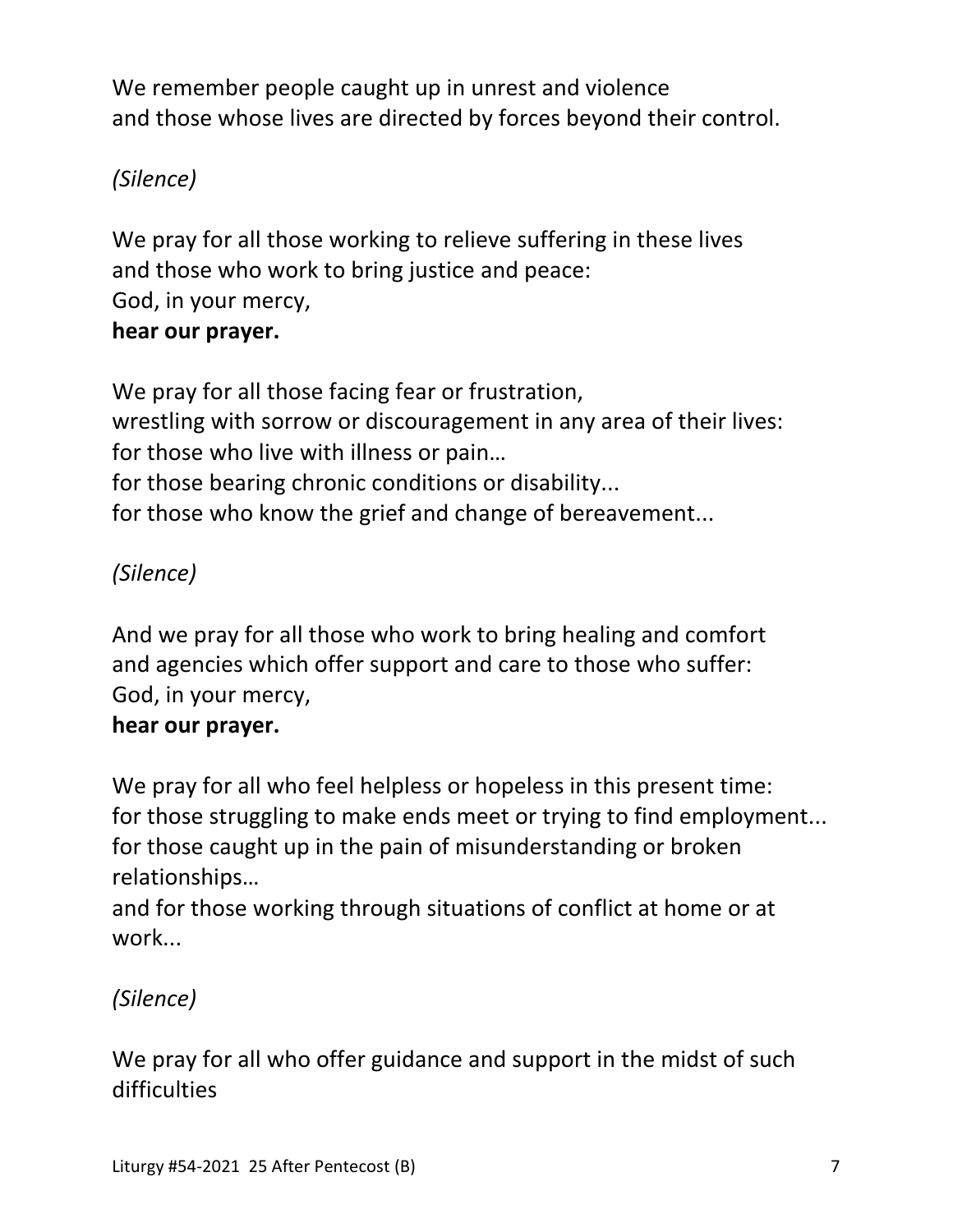We remember people caught up in unrest and violence and those whose lives are directed by forces beyond their control.

# *(Silence)*

We pray for all those working to relieve suffering in these lives and those who work to bring justice and peace: God, in your mercy, **hear our prayer.** 

We pray for all those facing fear or frustration, wrestling with sorrow or discouragement in any area of their lives: for those who live with illness or pain… for those bearing chronic conditions or disability... for those who know the grief and change of bereavement...

# *(Silence)*

And we pray for all those who work to bring healing and comfort and agencies which offer support and care to those who suffer: God, in your mercy,

# **hear our prayer.**

We pray for all who feel helpless or hopeless in this present time: for those struggling to make ends meet or trying to find employment... for those caught up in the pain of misunderstanding or broken relationships…

and for those working through situations of conflict at home or at work...

# *(Silence)*

We pray for all who offer guidance and support in the midst of such difficulties